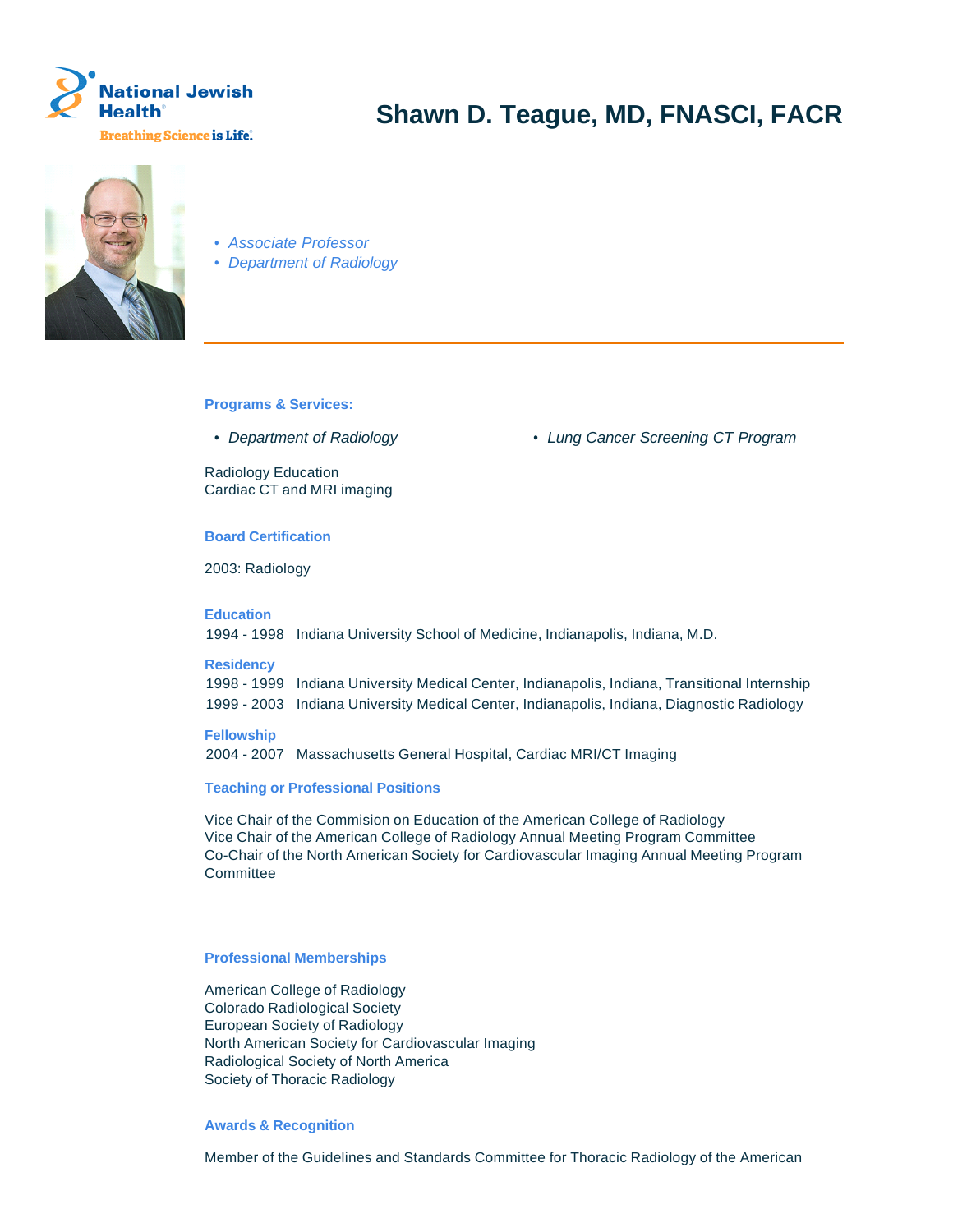



- Associate Professor
- Department of Radiology

**Programs & Services:**

Radiology Education Cardiac CT and MRI imaging

### **Board Certification**

2003: Radiology

**Education**

1994 - 1998 Indiana University School of Medicine, Indianapolis, Indiana, M.D.

### **Residency**

1998 - 1999 Indiana University Medical Center, Indianapolis, Indiana, Transitional Internship 1999 - 2003 Indiana University Medical Center, Indianapolis, Indiana, Diagnostic Radiology

## **Fellowship**

2004 - 2007 Massachusetts General Hospital, Cardiac MRI/CT Imaging

# **Teaching or Professional Positions**

Vice Chair of the Commision on Education of the American College of Radiology Vice Chair of the American College of Radiology Annual Meeting Program Committee Co-Chair of the North American Society for Cardiovascular Imaging Annual Meeting Program **Committee** 

### **Professional Memberships**

American College of Radiology Colorado Radiological Society European Society of Radiology North American Society for Cardiovascular Imaging Radiological Society of North America Society of Thoracic Radiology

### **Awards & Recognition**

Member of the Guidelines and Standards Committee for Thoracic Radiology of the American

• Department of Radiology **• Lung Cancer Screening CT Program**